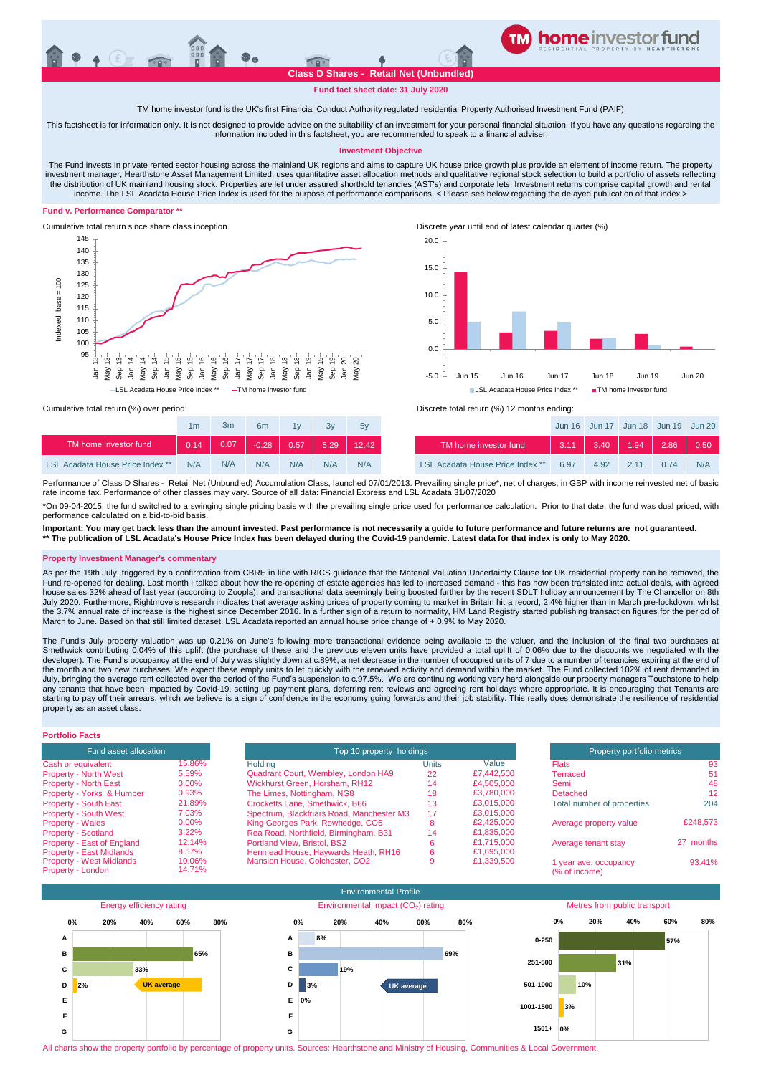# **Class D Shares - Retail Net (Unbundled)**

**Fund fact sheet date: 31 July 2020**

**TM home investor feeder fund**

#### TM home investor fund is the UK's first Financial Conduct Authority regulated residential Property Authorised Investment Fund (PAIF)

This factsheet is for information only. It is not designed to provide advice on the suitability of an investment for your personal financial situation. If you have any questions regarding the information included in this factsheet, you are recommended to speak to a financial adviser.

#### **Investment Objective**

The Fund invests in private rented sector housing across the mainland UK regions and aims to capture UK house price growth plus provide an element of income return. The property investment manager, Hearthstone Asset Management Limited, uses quantitative asset allocation methods and qualitative regional stock selection to build a portfolio of assets reflecting the distribution of UK mainland housing stock. Properties are let under assured shorthold tenancies (AST's) and corporate lets. Investment returns comprise capital growth and rental<br>income. The LSL Acadata House Price Inde

### **Fund v. Performance Comparator \*\***



Cumulative total return since share class inception Discrete year until end of latest calendar quarter (%)



base= ndexed.

> Jan 13<br>1ay 13 May 13<br>Sep 13

|                                         | 1 <sub>m</sub> | 3m   | 6m      | 1v   | 3v      | 5v    |                                  |
|-----------------------------------------|----------------|------|---------|------|---------|-------|----------------------------------|
| TM home investor fund                   | 0.14           | 0.07 | $-0.28$ | 0.57 | $-5.29$ | 12.42 | TM home investor fund            |
| <b>LSL Acadata House Price Index **</b> | N/A            | N/A  | N/A     | N/A  | N/A     | N/A   | LSL Acadata House Price Index ** |

LISL Acadata House Price Index \*\* TM home investor fund

Sep 14<br>Jan 14 Sep 18 Sep 16<br>Sep 15 Sep 16 Sep 16 Sep 17<br>Sep 14 Sep 16 Sep 16 Th 17<br>May 20 Sep 16 Th 17 Sep 18 Sep 18 Olan 20<br>May 20 Sep 18 Th 18 Sep 18 Olan 20

Cumulative total return (%) over period: <br>
Cumulative total return (%) over period: <br>
Discrete total return (%) 12 months ending:

| 1 <sub>m</sub> | 3m   | 6 <sub>m</sub> | 1v   | Зv   | 5v    |                                         |      | Jun 16 Jun 17 Jun 18 Jun 19 Jun 20 |      |      |      |
|----------------|------|----------------|------|------|-------|-----------------------------------------|------|------------------------------------|------|------|------|
| 0.14           | 0.07 | $-0.28$        | 0.57 | 5.29 | 12.42 | TM home investor fund                   | 3.11 | 3.40                               | 1.94 | 2.86 | 0.50 |
| N/A            | N/A  | N/A            | N/A  | N/A  | N/A   | <b>LSL Acadata House Price Index **</b> | 6.97 | 4.92                               |      | 0.74 | N/A  |

Performance of Class D Shares - Retail Net (Unbundled) Accumulation Class, launched 07/01/2013. Prevailing single price\*, net of charges, in GBP with income reinvested net of basic rate income tax. Performance of other classes may vary. Source of all data: Financial Express and LSL Acadata 31/07/2020

\*On 09-04-2015, the fund switched to a swinging single pricing basis with the prevailing single price used for performance calculation. Prior to that date, the fund was dual priced, with performance calculated on a bid-to-bid basis.

**Important: You may get back less than the amount invested. Past performance is not necessarily a guide to future performance and future returns are not guaranteed. \*\* The publication of LSL Acadata's House Price Index has been delayed during the Covid-19 pandemic. Latest data for that index is only to May 2020.** 

### **Property Investment Manager's commentary**

As per the 19th July, triggered by a confirmation from CBRE in line with RICS guidance that the Material Valuation Uncertainty Clause for UK residential property can be removed, the Fund re-opened for dealing. Last month I talked about how the re-opening of estate agencies has led to increased demand - this has now been translated into actual deals, with agreed house sales 32% ahead of last year (according to Zoopla), and transactional data seemingly being boosted further by the recent SDLT holiday announcement by The Chancellor on 8th July 2020. Furthermore, Rightmove's research indicates that average asking prices of property coming to market in Britain hit a record, 2.4% higher than in March pre-lockdown, whilst the 3.7% annual rate of increase is the highest since December 2016. In a further sign of a return to normality, HM Land Registry started publishing transaction figures for the period of March to June. Based on that still limited dataset, LSL Acadata reported an annual house price change of + 0.9% to May 2020.

The Fund's July property valuation was up 0.21% on June's following more transactional evidence being available to the valuer, and the inclusion of the final two purchases at Smethwick contributing 0.04% of this uplift (the purchase of these and the previous eleven units have provided a total uplift of 0.06% due to the discounts we negotiated with the developer). The Fund's occupancy at the end of July was slightly down at c.89%, a net decrease in the number of occupied units of 7 due to a number of tenancies expiring at the end of the month and two new purchases. We expect these empty units to let quickly with the renewed activity and demand within the market. The Fund collected 102% of rent demanded in July, bringing the average rent collected over the period of the Fund's suspension to c.97.5%. We are continuing working very hard alongside our property managers Touchstone to help any tenants that have been impacted by Covid-19, setting up payment plans, deferring rent reviews and agreeing rent holidays where appropriate. It is encouraging that Tenants are<br>starting to pay off their arrears, which we property as an asset class.

# **Portfolio Facts**

| <b>Fund asset allocation</b>    |        |  |  |  |  |  |
|---------------------------------|--------|--|--|--|--|--|
| Cash or equivalent              | 15.86% |  |  |  |  |  |
| <b>Property - North West</b>    | 5.59%  |  |  |  |  |  |
| <b>Property - North East</b>    | 0.00%  |  |  |  |  |  |
| Property - Yorks & Humber       | 0.93%  |  |  |  |  |  |
| <b>Property - South East</b>    | 21.89% |  |  |  |  |  |
| <b>Property - South West</b>    | 7.03%  |  |  |  |  |  |
| <b>Property - Wales</b>         | 0.00%  |  |  |  |  |  |
| <b>Property - Scotland</b>      | 3.22%  |  |  |  |  |  |
| Property - East of England      | 12.14% |  |  |  |  |  |
| <b>Property - East Midlands</b> | 8.57%  |  |  |  |  |  |
| <b>Property - West Midlands</b> | 10.06% |  |  |  |  |  |
| Property - London               | 14.71% |  |  |  |  |  |

| Fund asset allocation                                |                  | Top 10 property holdings                  | Property portfolio metrics |            |                                        |           |
|------------------------------------------------------|------------------|-------------------------------------------|----------------------------|------------|----------------------------------------|-----------|
| Cash or equivalent                                   | 15.86%           | Holding                                   | Units                      | Value      | <b>Flats</b>                           | -93       |
| <b>Property - North West</b>                         | 5.59%            | Quadrant Court, Wembley, London HA9       | 22                         | £7,442,500 | Terraced                               | 51        |
| <b>Property - North East</b>                         | 0.00%            | Wickhurst Green, Horsham, RH12            | 14                         | £4,505,000 | Semi                                   | 48        |
| Property - Yorks & Humber                            | 0.93%            | The Limes, Nottingham, NG8                | 18                         | £3,780,000 | Detached                               | 12        |
| <b>Property - South East</b>                         | 21.89%           | Crocketts Lane, Smethwick, B66            | 13                         | £3,015,000 | Total number of properties             | 204       |
| <b>Property - South West</b>                         | 7.03%            | Spectrum, Blackfriars Road, Manchester M3 | 17                         | £3,015,000 |                                        |           |
| <b>Property - Wales</b>                              | 0.00%            | King Georges Park, Rowhedge, CO5          |                            | £2,425,000 | Average property value                 | £248.573  |
| <b>Property - Scotland</b>                           | 3.22%            | Rea Road, Northfield, Birmingham. B31     | 14                         | £1,835,000 |                                        |           |
| Property - East of England                           | 12.14%           | Portland View, Bristol, BS2               |                            | £1.715,000 | Average tenant stay                    | 27 months |
| Property - East Midlands                             | 8.57%            | Henmead House, Haywards Heath, RH16       |                            | £1,695,000 |                                        |           |
| <b>Property - West Midlands</b><br>Property - London | 10.06%<br>14.71% | Mansion House, Colchester, CO2            |                            | £1,339,500 | 1 year ave. occupancy<br>(% of income) | 93.41%    |



All charts show the property portfolio by percentage of property units. Sources: Hearthstone and Ministry of Housing, Communities & Local Government.